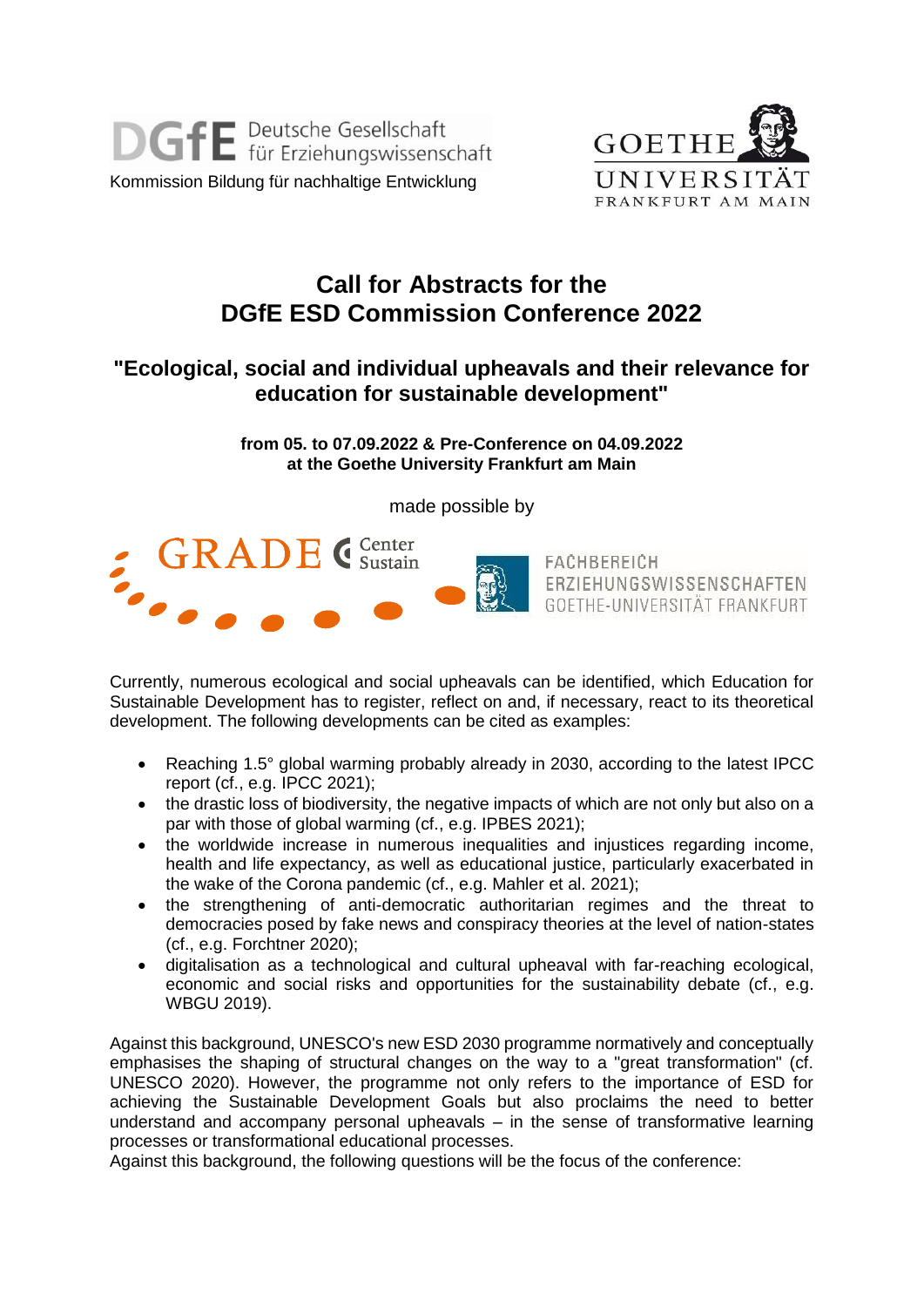



## **Call for Abstracts for the DGfE ESD Commission Conference 2022**

## **"Ecological, social and individual upheavals and their relevance for education for sustainable development"**

**from 05. to 07.09.2022 & Pre-Conference on 04.09.2022 at the Goethe University Frankfurt am Main**

made possible by



Currently, numerous ecological and social upheavals can be identified, which Education for Sustainable Development has to register, reflect on and, if necessary, react to its theoretical development. The following developments can be cited as examples:

- Reaching 1.5° global warming probably already in 2030, according to the latest IPCC report (cf., e.g. IPCC 2021);
- the drastic loss of biodiversity, the negative impacts of which are not only but also on a par with those of global warming (cf., e.g. IPBES 2021);
- the worldwide increase in numerous inequalities and injustices regarding income. health and life expectancy, as well as educational justice, particularly exacerbated in the wake of the Corona pandemic (cf., e.g. Mahler et al. 2021);
- the strengthening of anti-democratic authoritarian regimes and the threat to democracies posed by fake news and conspiracy theories at the level of nation-states (cf., e.g. Forchtner 2020);
- digitalisation as a technological and cultural upheaval with far-reaching ecological, economic and social risks and opportunities for the sustainability debate (cf., e.g. WBGU 2019).

Against this background, UNESCO's new ESD 2030 programme normatively and conceptually emphasises the shaping of structural changes on the way to a "great transformation" (cf. UNESCO 2020). However, the programme not only refers to the importance of ESD for achieving the Sustainable Development Goals but also proclaims the need to better understand and accompany personal upheavals – in the sense of transformative learning processes or transformational educational processes.

Against this background, the following questions will be the focus of the conference: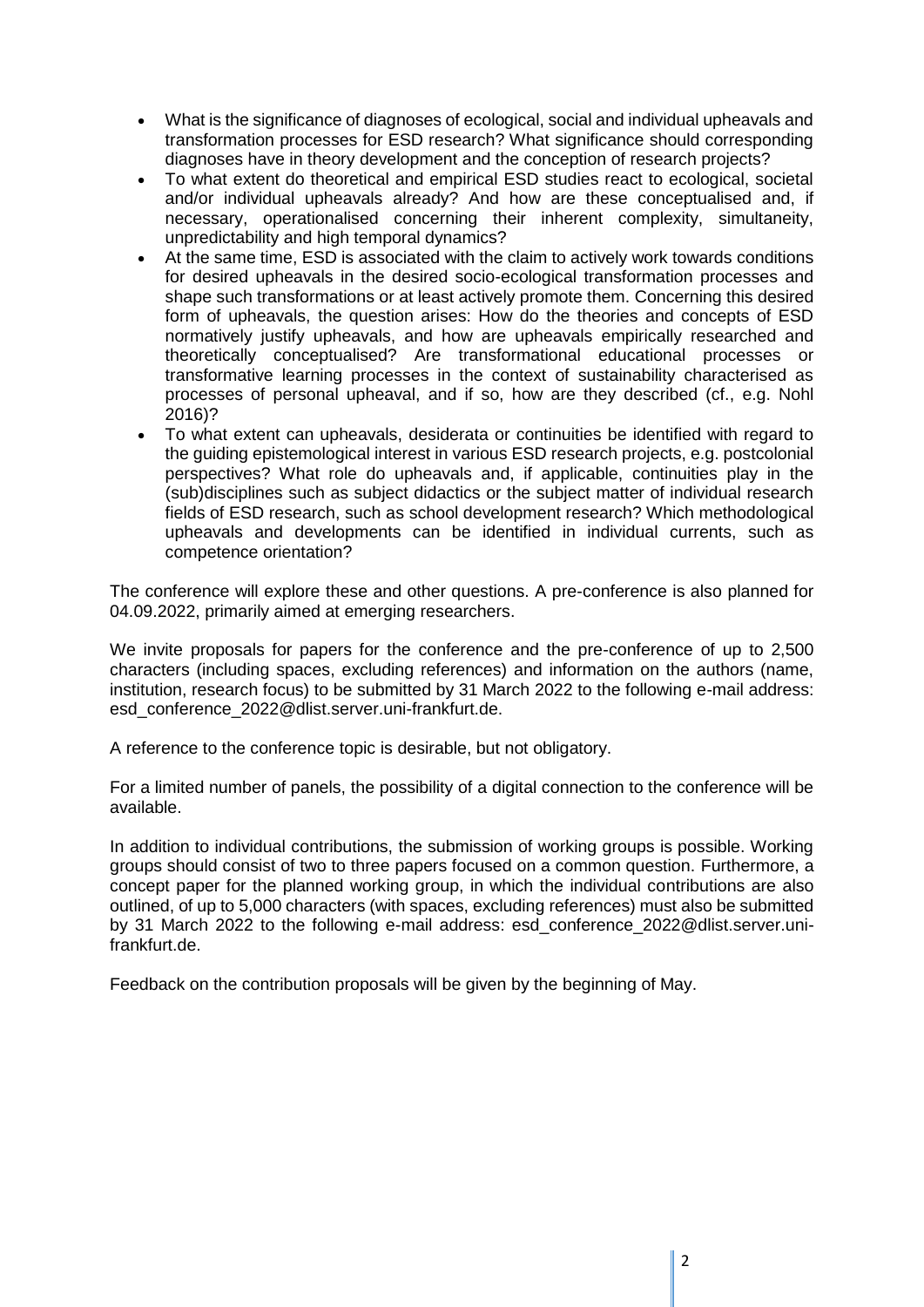- What is the significance of diagnoses of ecological, social and individual upheavals and transformation processes for ESD research? What significance should corresponding diagnoses have in theory development and the conception of research projects?
- To what extent do theoretical and empirical ESD studies react to ecological, societal and/or individual upheavals already? And how are these conceptualised and, if necessary, operationalised concerning their inherent complexity, simultaneity, unpredictability and high temporal dynamics?
- At the same time, ESD is associated with the claim to actively work towards conditions for desired upheavals in the desired socio-ecological transformation processes and shape such transformations or at least actively promote them. Concerning this desired form of upheavals, the question arises: How do the theories and concepts of ESD normatively justify upheavals, and how are upheavals empirically researched and theoretically conceptualised? Are transformational educational processes or transformative learning processes in the context of sustainability characterised as processes of personal upheaval, and if so, how are they described (cf., e.g. Nohl 2016)?
- To what extent can upheavals, desiderata or continuities be identified with regard to the guiding epistemological interest in various ESD research projects, e.g. postcolonial perspectives? What role do upheavals and, if applicable, continuities play in the (sub)disciplines such as subject didactics or the subject matter of individual research fields of ESD research, such as school development research? Which methodological upheavals and developments can be identified in individual currents, such as competence orientation?

The conference will explore these and other questions. A pre-conference is also planned for 04.09.2022, primarily aimed at emerging researchers.

We invite proposals for papers for the conference and the pre-conference of up to 2,500 characters (including spaces, excluding references) and information on the authors (name, institution, research focus) to be submitted by 31 March 2022 to the following e-mail address: esd\_conference\_2022@dlist.server.uni-frankfurt.de.

A reference to the conference topic is desirable, but not obligatory.

For a limited number of panels, the possibility of a digital connection to the conference will be available.

In addition to individual contributions, the submission of working groups is possible. Working groups should consist of two to three papers focused on a common question. Furthermore, a concept paper for the planned working group, in which the individual contributions are also outlined, of up to 5,000 characters (with spaces, excluding references) must also be submitted by 31 March 2022 to the following e-mail address: esd\_conference\_2022@dlist.server.unifrankfurt.de.

Feedback on the contribution proposals will be given by the beginning of May.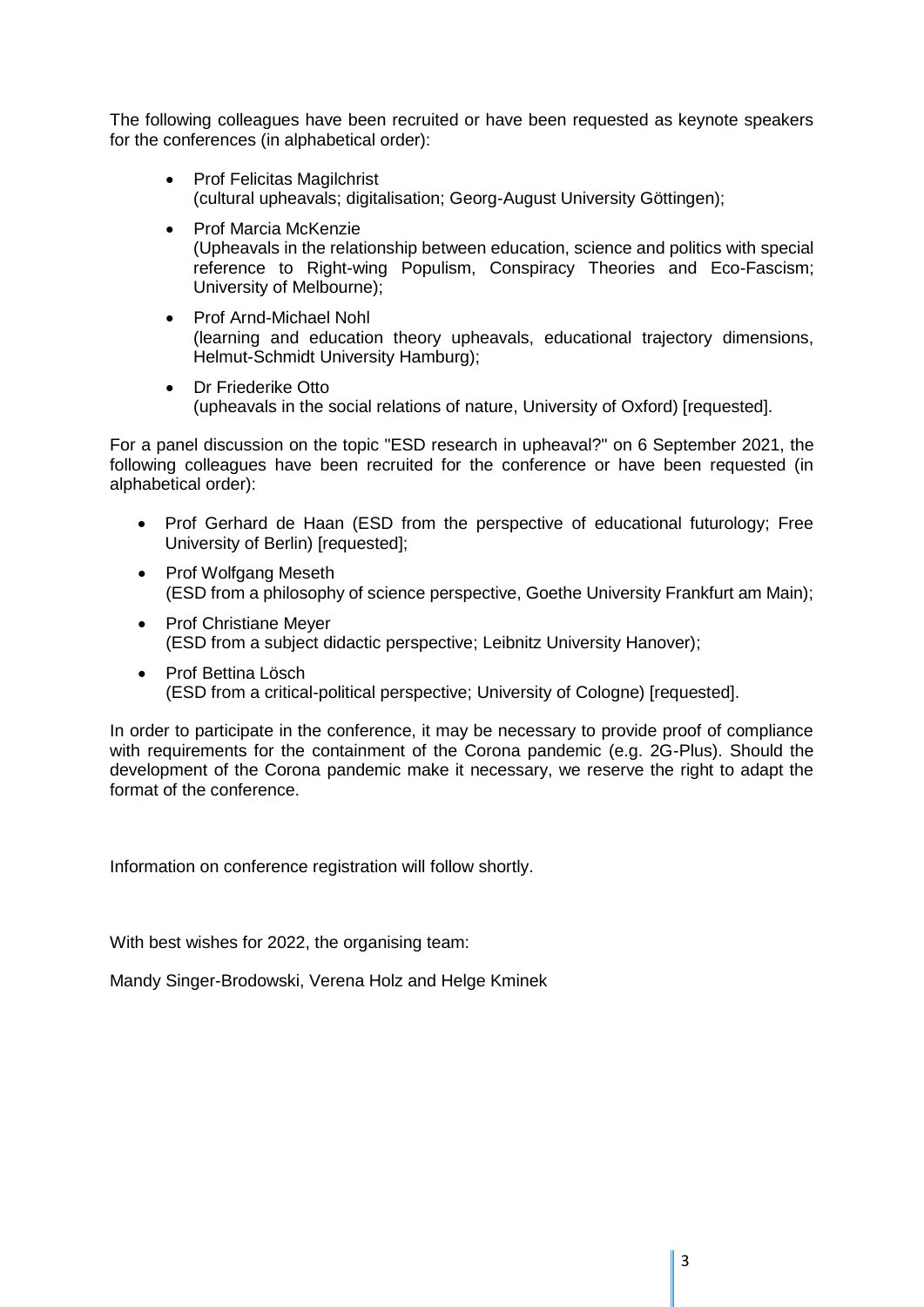The following colleagues have been recruited or have been requested as keynote speakers for the conferences (in alphabetical order):

- Prof Felicitas Magilchrist (cultural upheavals; digitalisation; Georg-August University Göttingen);
- Prof Marcia McKenzie (Upheavals in the relationship between education, science and politics with special reference to Right-wing Populism, Conspiracy Theories and Eco-Fascism; University of Melbourne);
- Prof Arnd-Michael Nohl (learning and education theory upheavals, educational trajectory dimensions, Helmut-Schmidt University Hamburg);
- Dr Friederike Otto (upheavals in the social relations of nature, University of Oxford) [requested].

For a panel discussion on the topic "ESD research in upheaval?" on 6 September 2021, the following colleagues have been recruited for the conference or have been requested (in alphabetical order):

- Prof Gerhard de Haan (ESD from the perspective of educational futurology; Free University of Berlin) [requested];
- Prof Wolfgang Meseth (ESD from a philosophy of science perspective, Goethe University Frankfurt am Main);
- Prof Christiane Mever (ESD from a subject didactic perspective; Leibnitz University Hanover);
- Prof Bettina Lösch (ESD from a critical-political perspective; University of Cologne) [requested].

In order to participate in the conference, it may be necessary to provide proof of compliance with requirements for the containment of the Corona pandemic (e.g. 2G-Plus). Should the development of the Corona pandemic make it necessary, we reserve the right to adapt the format of the conference.

Information on conference registration will follow shortly.

With best wishes for 2022, the organising team:

Mandy Singer-Brodowski, Verena Holz and Helge Kminek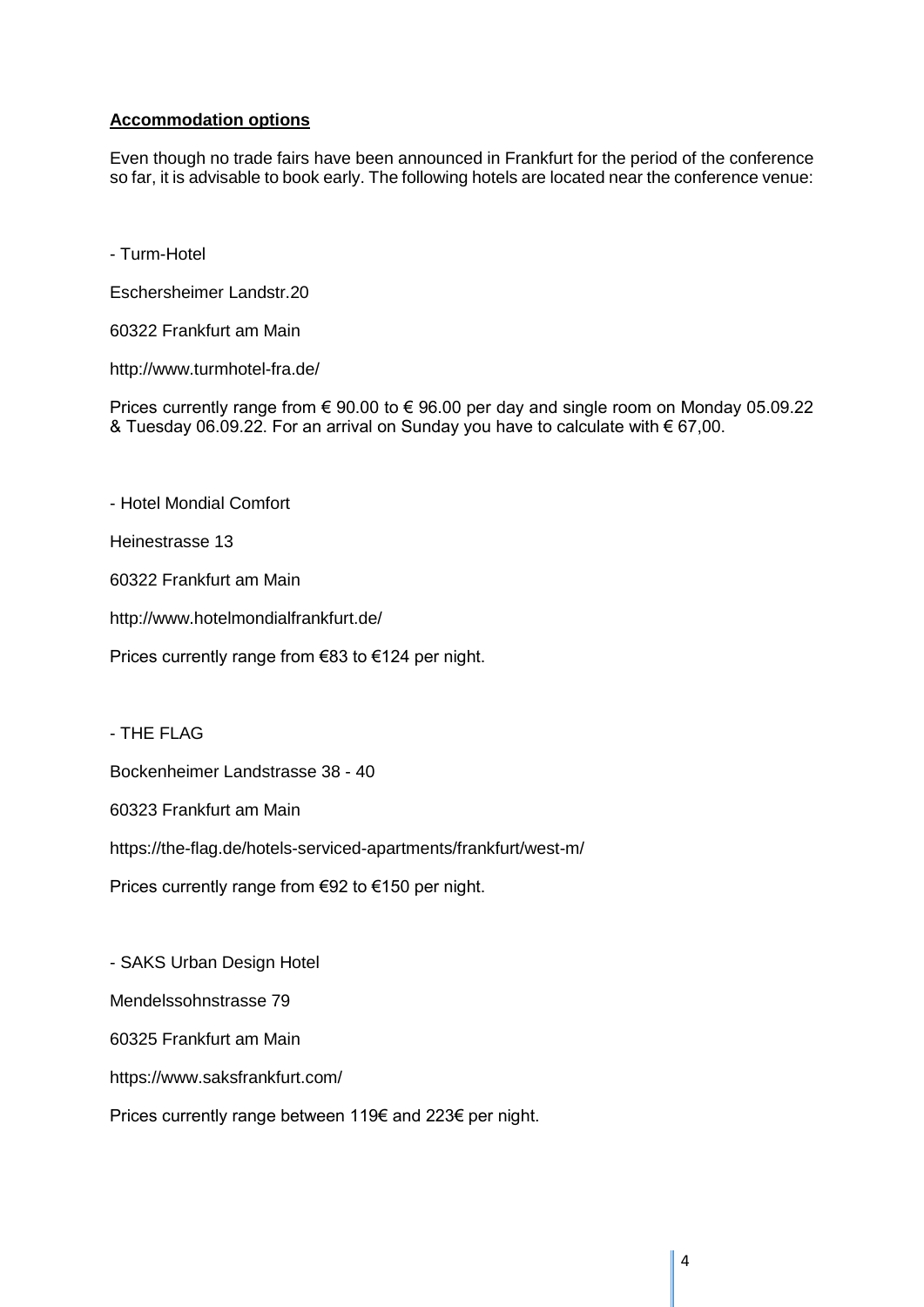## **Accommodation options**

Even though no trade fairs have been announced in Frankfurt for the period of the conference so far, it is advisable to book early. The following hotels are located near the conference venue:

- Turm-Hotel

Eschersheimer Landstr.20

60322 Frankfurt am Main

http://www.turmhotel-fra.de/

Prices currently range from € 90.00 to € 96.00 per day and single room on Monday 05.09.22 & Tuesday 06.09.22. For an arrival on Sunday you have to calculate with € 67,00.

- Hotel Mondial Comfort

Heinestrasse 13

60322 Frankfurt am Main

http://www.hotelmondialfrankfurt.de/

Prices currently range from €83 to €124 per night.

- THE FLAG

Bockenheimer Landstrasse 38 - 40

60323 Frankfurt am Main

https://the-flag.de/hotels-serviced-apartments/frankfurt/west-m/

Prices currently range from €92 to €150 per night.

- SAKS Urban Design Hotel

Mendelssohnstrasse 79

60325 Frankfurt am Main

https://www.saksfrankfurt.com/

Prices currently range between 119€ and 223€ per night.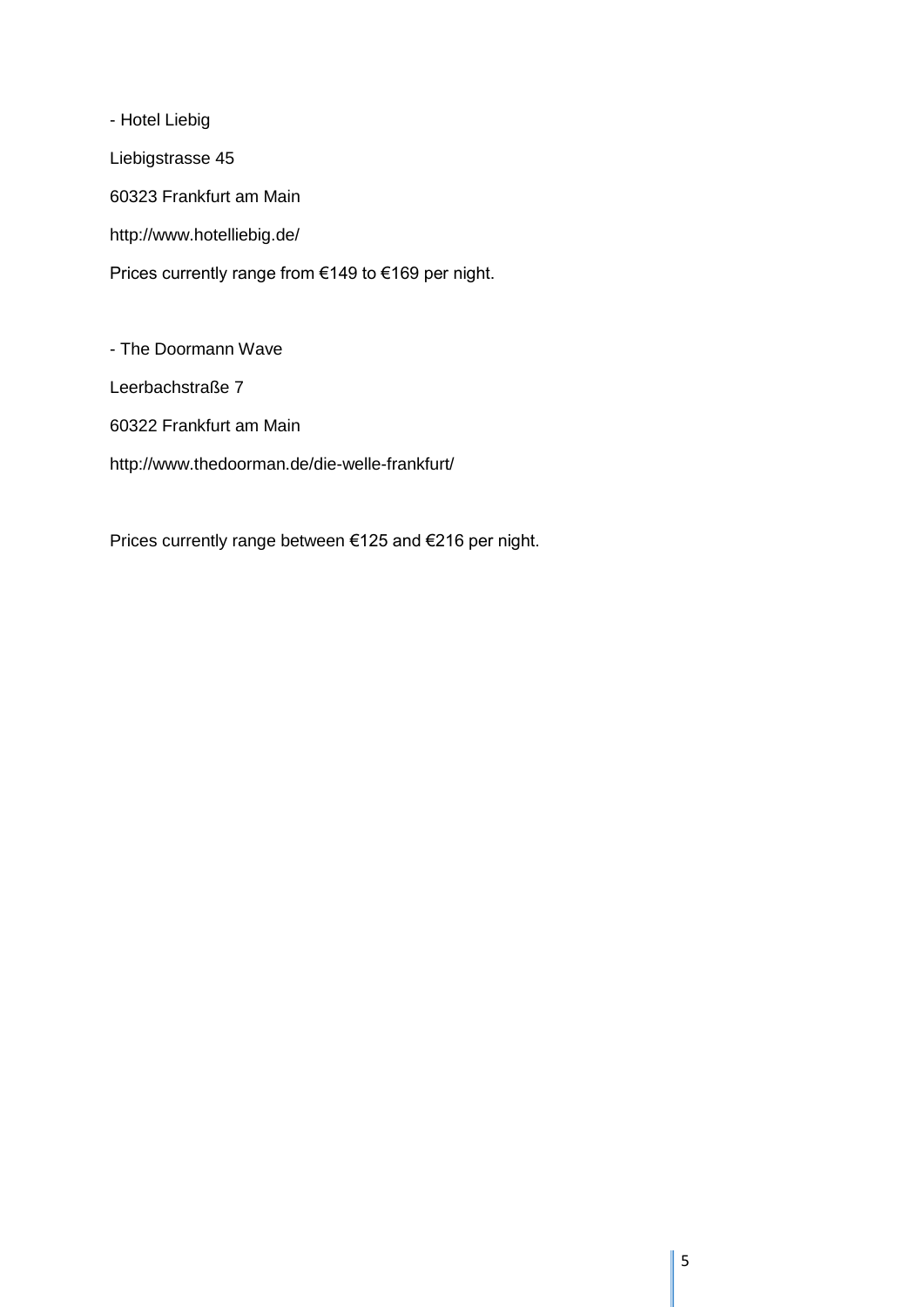- Hotel Liebig Liebigstrasse 45 60323 Frankfurt am Main http://www.hotelliebig.de/ Prices currently range from €149 to €169 per night.

- The Doormann Wave

Leerbachstraße 7

60322 Frankfurt am Main

http://www.thedoorman.de/die-welle-frankfurt/

Prices currently range between €125 and €216 per night.